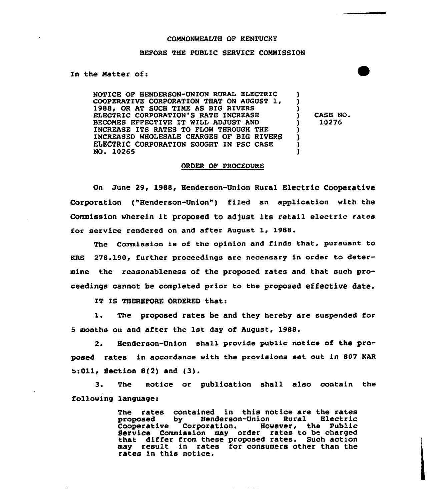#### CONNONWEALTH OF KENTUCKY

### BEFORE THE PUBLIC SERVICE COMMISSION

### In the Natter of:

NOTICE OF HENDERSON-UNION RURAL ELECTRIC COOPERATIVE CORPORATION THAT ON AUGUST 1, 1988, OR AT SUCH TIME AS BIG RIVERS ELECTRIC CORPORATION'S RATE INCREASE BECONES EFFECTIVE IT WELL ADJUST AND INCREASE ITS RATES TO FLOW THROUGH THE INCREASED WHOLESALE CHARGES OF BIG RIVERS ELECTRIC CORPORATION SOUGHT IN PSC CASE NO. 10265 ) ) )<br>) )

CASE NO. ) 10276

) ) )

## ORDER OF PROCEDURE

On June 29, 1988, Henderson-Union Rural Electric Cooperative Corporation ("Henderson-Union") filed an application with the Commission wherein it proposed to adjust its retail electric rates for aervice rendered on and after August 1, 1988.

The Commission is of the opinion and finds that, pursuant to  $RRS$  278.190. further proceedings are necessary in order to determine the reasonableness of the proposed rates and that such proceedings cannot be completed prior to the proposed effective date.

IT IS THEREFORE ORDERED that:

1. The proposed rates be and they hereby are suspended for 5 months on and after the 1st day of August, 1988.

2. Henderson-Union shall provide public notice of the proposed rates in accordance with the provisions set out in 807 KAR 5s011, Section 812) and (3}.

3. The notice or publication shall also contain the following language:

> The rates contained in this notice are the rates<br>proposed by Henderson-Union Rural Electric Henderson-Union Rural Electric<br>poration. However, the Public Cooperative Corporation. Service Commission may order rates to be charged that differ from these proposed rates. Such action may result in rates for consumers other than the rates in this notice.

> > and a strain and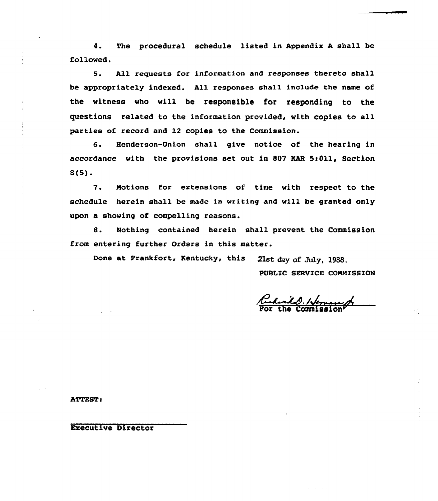4. The procedural schedule listed in Appendix <sup>A</sup> sha11 be followed.

5. All requests for information and responses thereto shall be appropriately indexed. All responses shall include the name of the vitness vho vill be responsible for responding to the questions related to the information provided, with copies to all parties of record and 12 copies to the Commission.

6. Henderson-Union shall give notice of the hearing in accordance with the provisions set out in 807 KAR 5:011, Section 8(5).

7. Notions for extensians of time with respect to the schedule herein shall be made in writing and will be granted only upon a showing of compelling reasons.

8. Nothing contained herein shall prevent the Commission from entering further Orders in this matter.

Done at Frankfort, Kentucky, this 21st day of July, 1988.

PUBLIC SERVICE COMMISSION

 $\frac{d}{dt}$ . Neman

ATTEST

Executive Director